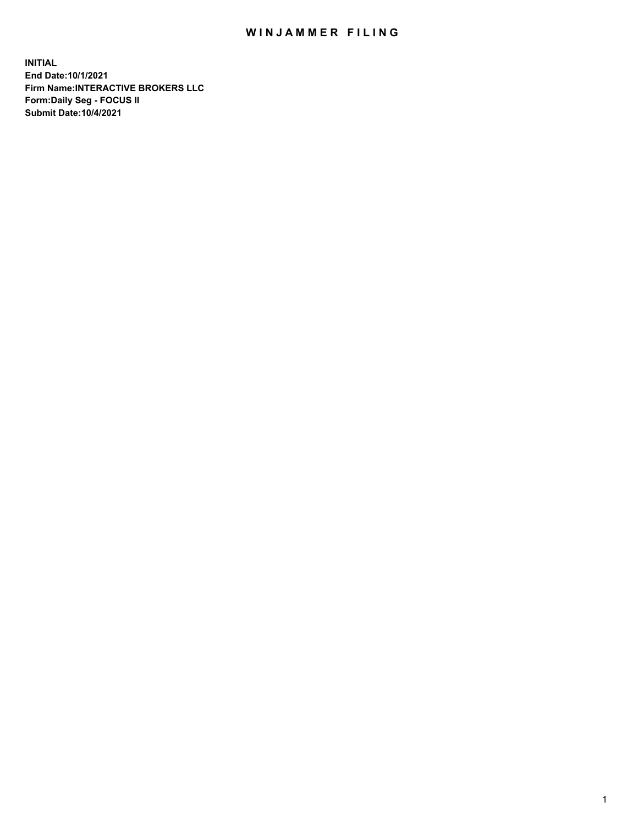## WIN JAMMER FILING

**INITIAL End Date:10/1/2021 Firm Name:INTERACTIVE BROKERS LLC Form:Daily Seg - FOCUS II Submit Date:10/4/2021**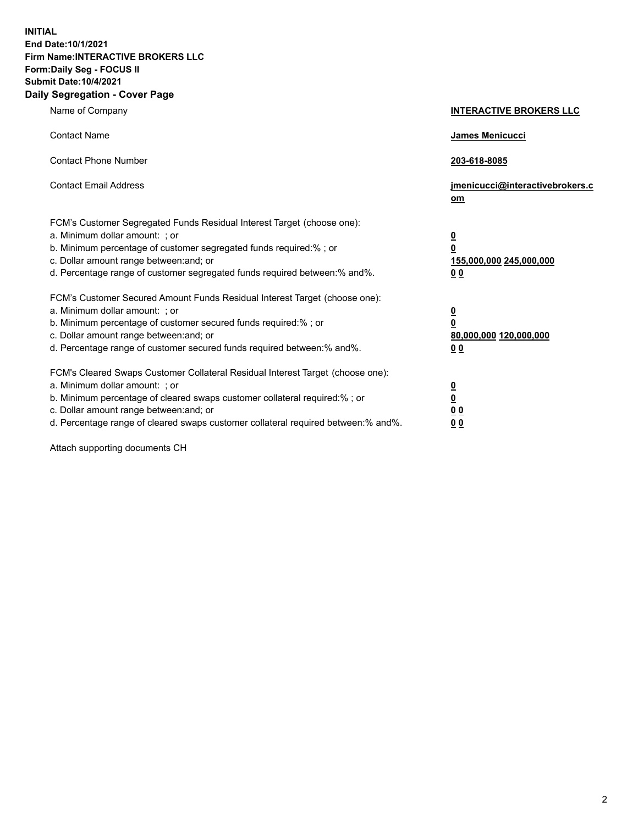**INITIAL End Date:10/1/2021 Firm Name:INTERACTIVE BROKERS LLC Form:Daily Seg - FOCUS II Submit Date:10/4/2021 Daily Segregation - Cover Page**

| Name of Company                                                                                                                                                                                                                                                                                                                | <b>INTERACTIVE BROKERS LLC</b>                                                                  |
|--------------------------------------------------------------------------------------------------------------------------------------------------------------------------------------------------------------------------------------------------------------------------------------------------------------------------------|-------------------------------------------------------------------------------------------------|
| <b>Contact Name</b>                                                                                                                                                                                                                                                                                                            | James Menicucci                                                                                 |
| <b>Contact Phone Number</b>                                                                                                                                                                                                                                                                                                    | 203-618-8085                                                                                    |
| <b>Contact Email Address</b>                                                                                                                                                                                                                                                                                                   | jmenicucci@interactivebrokers.c<br>om                                                           |
| FCM's Customer Segregated Funds Residual Interest Target (choose one):<br>a. Minimum dollar amount: ; or<br>b. Minimum percentage of customer segregated funds required:% ; or<br>c. Dollar amount range between: and; or<br>d. Percentage range of customer segregated funds required between: % and %.                       | $\overline{\mathbf{0}}$<br>$\overline{\mathbf{0}}$<br>155,000,000 245,000,000<br>0 <sub>0</sub> |
| FCM's Customer Secured Amount Funds Residual Interest Target (choose one):<br>a. Minimum dollar amount: ; or<br>b. Minimum percentage of customer secured funds required:% ; or<br>c. Dollar amount range between: and; or<br>d. Percentage range of customer secured funds required between:% and%.                           | $\overline{\mathbf{0}}$<br>$\overline{\mathbf{0}}$<br>80,000,000 120,000,000<br>0 <sub>0</sub>  |
| FCM's Cleared Swaps Customer Collateral Residual Interest Target (choose one):<br>a. Minimum dollar amount: ; or<br>b. Minimum percentage of cleared swaps customer collateral required:% ; or<br>c. Dollar amount range between: and; or<br>d. Percentage range of cleared swaps customer collateral required between:% and%. | $\overline{\mathbf{0}}$<br><u>0</u><br>0 <sub>0</sub><br>00                                     |

Attach supporting documents CH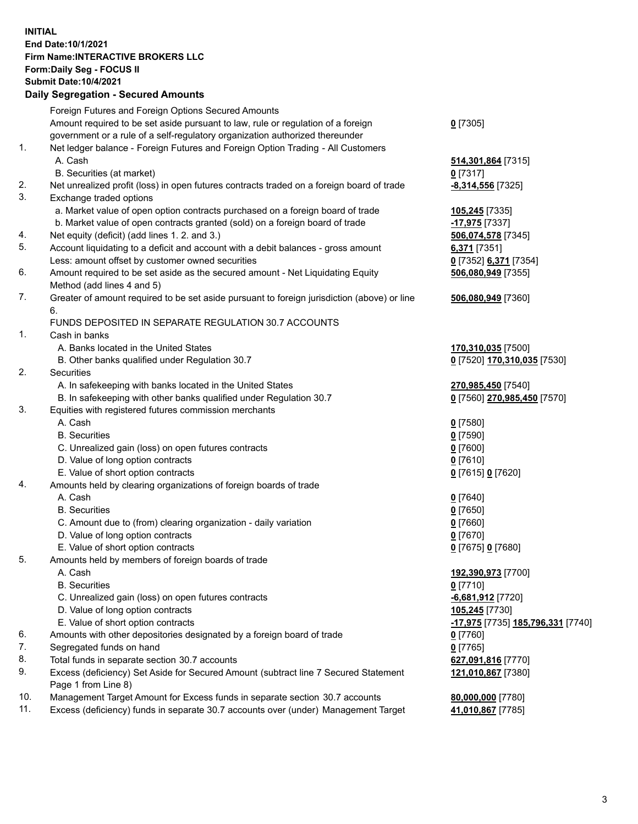## **INITIAL End Date:10/1/2021 Firm Name:INTERACTIVE BROKERS LLC Form:Daily Seg - FOCUS II Submit Date:10/4/2021 Daily Segregation - Secured Amounts**

|     | Daily Segregation - Secured Amounts                                                                        |                                                       |
|-----|------------------------------------------------------------------------------------------------------------|-------------------------------------------------------|
|     | Foreign Futures and Foreign Options Secured Amounts                                                        |                                                       |
|     | Amount required to be set aside pursuant to law, rule or regulation of a foreign                           | $0$ [7305]                                            |
|     | government or a rule of a self-regulatory organization authorized thereunder                               |                                                       |
| 1.  | Net ledger balance - Foreign Futures and Foreign Option Trading - All Customers                            |                                                       |
|     | A. Cash                                                                                                    | 514,301,864 [7315]                                    |
|     | B. Securities (at market)                                                                                  | $0$ [7317]                                            |
| 2.  | Net unrealized profit (loss) in open futures contracts traded on a foreign board of trade                  | -8,314,556 [7325]                                     |
| 3.  | Exchange traded options                                                                                    |                                                       |
|     | a. Market value of open option contracts purchased on a foreign board of trade                             | 105,245 [7335]                                        |
|     | b. Market value of open contracts granted (sold) on a foreign board of trade                               | -17,975 [7337]                                        |
| 4.  | Net equity (deficit) (add lines 1. 2. and 3.)                                                              | 506,074,578 [7345]                                    |
| 5.  | Account liquidating to a deficit and account with a debit balances - gross amount                          | 6,371 [7351]                                          |
|     | Less: amount offset by customer owned securities                                                           | 0 [7352] 6,371 [7354]                                 |
| 6.  | Amount required to be set aside as the secured amount - Net Liquidating Equity                             | 506,080,949 [7355]                                    |
|     | Method (add lines 4 and 5)                                                                                 |                                                       |
| 7.  | Greater of amount required to be set aside pursuant to foreign jurisdiction (above) or line                | 506,080,949 [7360]                                    |
|     | 6.                                                                                                         |                                                       |
|     | FUNDS DEPOSITED IN SEPARATE REGULATION 30.7 ACCOUNTS                                                       |                                                       |
| 1.  | Cash in banks                                                                                              |                                                       |
|     | A. Banks located in the United States                                                                      | 170,310,035 [7500]                                    |
|     | B. Other banks qualified under Regulation 30.7                                                             | 0 [7520] 170,310,035 [7530]                           |
| 2.  | Securities                                                                                                 |                                                       |
|     | A. In safekeeping with banks located in the United States                                                  | 270,985,450 [7540]                                    |
|     | B. In safekeeping with other banks qualified under Regulation 30.7                                         | 0 [7560] 270,985,450 [7570]                           |
| 3.  | Equities with registered futures commission merchants                                                      |                                                       |
|     | A. Cash                                                                                                    | $0$ [7580]                                            |
|     | <b>B.</b> Securities                                                                                       | $0$ [7590]                                            |
|     | C. Unrealized gain (loss) on open futures contracts                                                        | $0$ [7600]                                            |
|     | D. Value of long option contracts                                                                          | $Q$ [7610]                                            |
|     | E. Value of short option contracts                                                                         | 0 [7615] 0 [7620]                                     |
| 4.  | Amounts held by clearing organizations of foreign boards of trade                                          |                                                       |
|     | A. Cash                                                                                                    | $0$ [7640]                                            |
|     | <b>B.</b> Securities                                                                                       | $Q$ [7650]                                            |
|     | C. Amount due to (from) clearing organization - daily variation                                            | $0$ [7660]                                            |
|     | D. Value of long option contracts                                                                          | $0$ [7670]                                            |
|     | E. Value of short option contracts                                                                         | 0 [7675] 0 [7680]                                     |
| 5.  | Amounts held by members of foreign boards of trade                                                         |                                                       |
|     | A. Cash                                                                                                    | 192,390,973 [7700]                                    |
|     | <b>B.</b> Securities                                                                                       | $0$ [7710]                                            |
|     | C. Unrealized gain (loss) on open futures contracts                                                        | $-6,681,912$ [7720]                                   |
|     | D. Value of long option contracts                                                                          | 105,245 [7730]                                        |
|     | E. Value of short option contracts                                                                         | <mark>-17,975</mark> [7735] <b>185,796,331</b> [7740] |
| 6.  | Amounts with other depositories designated by a foreign board of trade                                     | 0 [7760]                                              |
| 7.  | Segregated funds on hand                                                                                   | $0$ [7765]                                            |
| 8.  | Total funds in separate section 30.7 accounts                                                              | 627,091,816 [7770]                                    |
| 9.  | Excess (deficiency) Set Aside for Secured Amount (subtract line 7 Secured Statement<br>Page 1 from Line 8) | 121,010,867 [7380]                                    |
| 10. | Management Target Amount for Excess funds in separate section 30.7 accounts                                | 80,000,000 [7780]                                     |
| 11. | Excess (deficiency) funds in separate 30.7 accounts over (under) Management Target                         | 41,010,867 [7785]                                     |
|     |                                                                                                            |                                                       |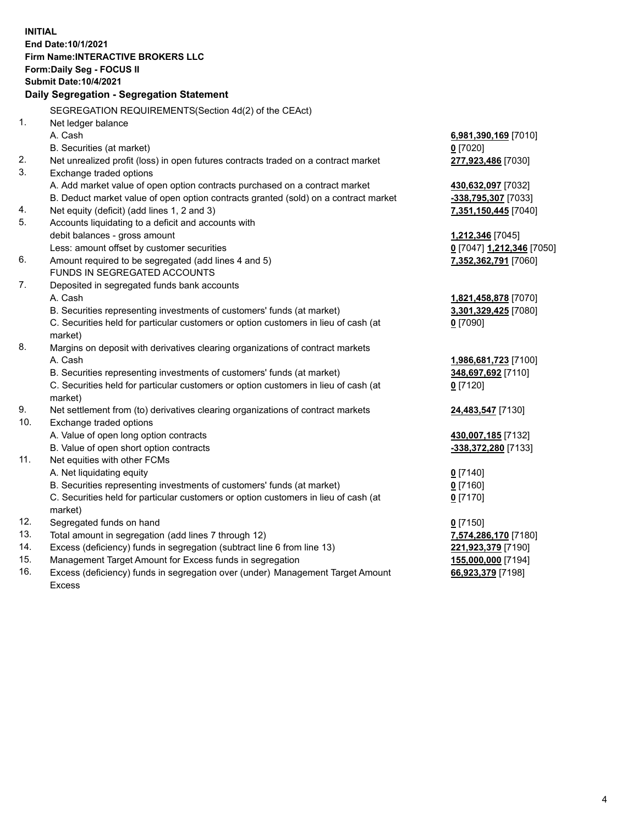**INITIAL End Date:10/1/2021 Firm Name:INTERACTIVE BROKERS LLC Form:Daily Seg - FOCUS II Submit Date:10/4/2021 Daily Segregation - Segregation Statement** SEGREGATION REQUIREMENTS(Section 4d(2) of the CEAct) 1. Net ledger balance A. Cash **6,981,390,169** [7010] B. Securities (at market) **0** [7020] 2. Net unrealized profit (loss) in open futures contracts traded on a contract market **277,923,486** [7030] 3. Exchange traded options A. Add market value of open option contracts purchased on a contract market **430,632,097** [7032] B. Deduct market value of open option contracts granted (sold) on a contract market **-338,795,307** [7033] 4. Net equity (deficit) (add lines 1, 2 and 3) **7,351,150,445** [7040] 5. Accounts liquidating to a deficit and accounts with debit balances - gross amount **1,212,346** [7045] Less: amount offset by customer securities **0** [7047] **1,212,346** [7050] 6. Amount required to be segregated (add lines 4 and 5) **7,352,362,791** [7060] FUNDS IN SEGREGATED ACCOUNTS 7. Deposited in segregated funds bank accounts A. Cash **1,821,458,878** [7070] B. Securities representing investments of customers' funds (at market) **3,301,329,425** [7080] C. Securities held for particular customers or option customers in lieu of cash (at market) **0** [7090] 8. Margins on deposit with derivatives clearing organizations of contract markets A. Cash **1,986,681,723** [7100] B. Securities representing investments of customers' funds (at market) **348,697,692** [7110] C. Securities held for particular customers or option customers in lieu of cash (at market) **0** [7120] 9. Net settlement from (to) derivatives clearing organizations of contract markets **24,483,547** [7130] 10. Exchange traded options A. Value of open long option contracts **430,007,185** [7132] B. Value of open short option contracts **-338,372,280** [7133] 11. Net equities with other FCMs A. Net liquidating equity **0** [7140] B. Securities representing investments of customers' funds (at market) **0** [7160] C. Securities held for particular customers or option customers in lieu of cash (at market) **0** [7170] 12. Segregated funds on hand **0** [7150] 13. Total amount in segregation (add lines 7 through 12) **7,574,286,170** [7180] 14. Excess (deficiency) funds in segregation (subtract line 6 from line 13) **221,923,379** [7190] 15. Management Target Amount for Excess funds in segregation **155,000,000** [7194] 16. Excess (deficiency) funds in segregation over (under) Management Target Amount **66,923,379** [7198]

Excess